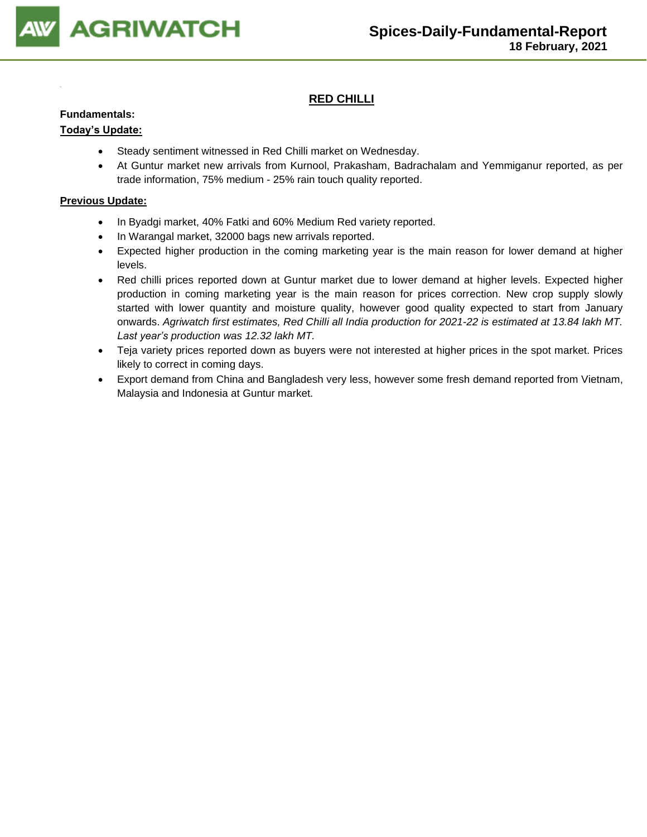

# **RED CHILLI**

#### **Fundamentals:**

## **Today's Update:**

- Steady sentiment witnessed in Red Chilli market on Wednesday.
- At Guntur market new arrivals from Kurnool, Prakasham, Badrachalam and Yemmiganur reported, as per trade information, 75% medium - 25% rain touch quality reported.

- In Byadgi market, 40% Fatki and 60% Medium Red variety reported.
- In Warangal market, 32000 bags new arrivals reported.
- Expected higher production in the coming marketing year is the main reason for lower demand at higher levels.
- Red chilli prices reported down at Guntur market due to lower demand at higher levels. Expected higher production in coming marketing year is the main reason for prices correction. New crop supply slowly started with lower quantity and moisture quality, however good quality expected to start from January onwards. *Agriwatch first estimates, Red Chilli all India production for 2021-22 is estimated at 13.84 lakh MT. Last year's production was 12.32 lakh MT.*
- Teja variety prices reported down as buyers were not interested at higher prices in the spot market. Prices likely to correct in coming days.
- Export demand from China and Bangladesh very less, however some fresh demand reported from Vietnam, Malaysia and Indonesia at Guntur market.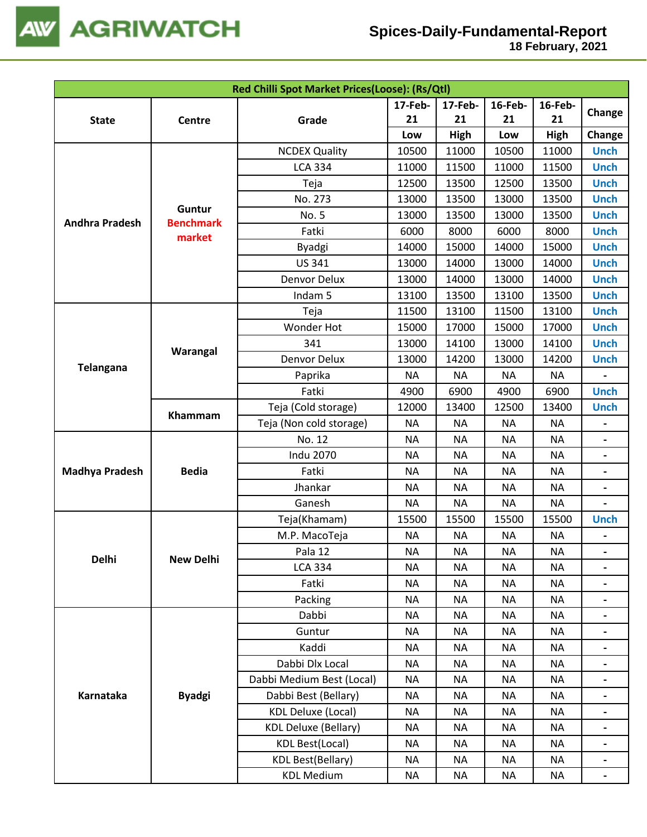

 **18 February, 2021**

|                       |                            | Red Chilli Spot Market Prices(Loose): (Rs/Qtl) |           |           |           |             |                          |
|-----------------------|----------------------------|------------------------------------------------|-----------|-----------|-----------|-------------|--------------------------|
|                       |                            |                                                | 17-Feb-   | 17-Feb-   | 16-Feb-   | 16-Feb-     |                          |
| <b>State</b>          | Centre                     | Grade                                          | 21        | 21        | 21        | 21          | Change                   |
|                       |                            |                                                | Low       | High      | Low       | <b>High</b> | Change                   |
|                       |                            | <b>NCDEX Quality</b>                           | 10500     | 11000     | 10500     | 11000       | <b>Unch</b>              |
|                       |                            | <b>LCA 334</b>                                 | 11000     | 11500     | 11000     | 11500       | <b>Unch</b>              |
|                       |                            | Teja                                           | 12500     | 13500     | 12500     | 13500       | <b>Unch</b>              |
| <b>Andhra Pradesh</b> |                            | No. 273                                        | 13000     | 13500     | 13000     | 13500       | <b>Unch</b>              |
|                       | Guntur<br><b>Benchmark</b> | No. 5                                          | 13000     | 13500     | 13000     | 13500       | <b>Unch</b>              |
|                       | market                     | Fatki                                          | 6000      | 8000      | 6000      | 8000        | <b>Unch</b>              |
|                       |                            | <b>Byadgi</b>                                  | 14000     | 15000     | 14000     | 15000       | <b>Unch</b>              |
|                       |                            | <b>US 341</b>                                  | 13000     | 14000     | 13000     | 14000       | <b>Unch</b>              |
|                       |                            | Denvor Delux                                   | 13000     | 14000     | 13000     | 14000       | <b>Unch</b>              |
|                       |                            | Indam 5                                        | 13100     | 13500     | 13100     | 13500       | <b>Unch</b>              |
|                       |                            | Teja                                           | 11500     | 13100     | 11500     | 13100       | <b>Unch</b>              |
|                       |                            | <b>Wonder Hot</b>                              | 15000     | 17000     | 15000     | 17000       | <b>Unch</b>              |
| <b>Telangana</b>      |                            | 341                                            | 13000     | 14100     | 13000     | 14100       | <b>Unch</b>              |
|                       | Warangal                   | Denvor Delux                                   | 13000     | 14200     | 13000     | 14200       | <b>Unch</b>              |
|                       |                            | Paprika                                        | <b>NA</b> | <b>NA</b> | <b>NA</b> | ΝA          |                          |
|                       |                            | Fatki                                          | 4900      | 6900      | 4900      | 6900        | <b>Unch</b>              |
|                       | Khammam                    | Teja (Cold storage)                            | 12000     | 13400     | 12500     | 13400       | <b>Unch</b>              |
|                       |                            | Teja (Non cold storage)                        | <b>NA</b> | <b>NA</b> | <b>NA</b> | <b>NA</b>   |                          |
|                       |                            | No. 12                                         | <b>NA</b> | <b>NA</b> | <b>NA</b> | <b>NA</b>   |                          |
|                       |                            | <b>Indu 2070</b>                               | <b>NA</b> | <b>NA</b> | <b>NA</b> | <b>NA</b>   |                          |
| <b>Madhya Pradesh</b> | <b>Bedia</b>               | Fatki                                          | <b>NA</b> | <b>NA</b> | <b>NA</b> | <b>NA</b>   | $\overline{\phantom{a}}$ |
|                       |                            | Jhankar                                        | <b>NA</b> | <b>NA</b> | <b>NA</b> | <b>NA</b>   |                          |
|                       |                            | Ganesh                                         | <b>NA</b> | <b>NA</b> | <b>NA</b> | <b>NA</b>   |                          |
|                       |                            | Teja(Khamam)                                   | 15500     | 15500     | 15500     | 15500       | <b>Unch</b>              |
|                       |                            | M.P. MacoTeja                                  | <b>NA</b> | <b>NA</b> | <b>NA</b> | <b>NA</b>   |                          |
|                       |                            | Pala 12                                        | <b>NA</b> | <b>NA</b> | <b>NA</b> | <b>NA</b>   |                          |
| Delhi                 | <b>New Delhi</b>           | <b>LCA 334</b>                                 | <b>NA</b> | <b>NA</b> | <b>NA</b> | <b>NA</b>   |                          |
|                       |                            | Fatki                                          | <b>NA</b> | <b>NA</b> | <b>NA</b> | <b>NA</b>   |                          |
|                       |                            | Packing                                        | <b>NA</b> | <b>NA</b> | <b>NA</b> | <b>NA</b>   |                          |
|                       |                            | Dabbi                                          | <b>NA</b> | <b>NA</b> | <b>NA</b> | <b>NA</b>   |                          |
|                       |                            | Guntur                                         | <b>NA</b> | <b>NA</b> | <b>NA</b> | <b>NA</b>   |                          |
|                       |                            | Kaddi                                          | <b>NA</b> | <b>NA</b> | <b>NA</b> | <b>NA</b>   |                          |
|                       |                            | Dabbi Dlx Local                                | <b>NA</b> | <b>NA</b> | <b>NA</b> | <b>NA</b>   |                          |
|                       |                            | Dabbi Medium Best (Local)                      | <b>NA</b> | ΝA        | <b>NA</b> | <b>NA</b>   |                          |
| Karnataka             | <b>Byadgi</b>              | Dabbi Best (Bellary)                           | <b>NA</b> | <b>NA</b> | <b>NA</b> | <b>NA</b>   |                          |
|                       |                            | <b>KDL Deluxe (Local)</b>                      | <b>NA</b> | <b>NA</b> | <b>NA</b> | <b>NA</b>   |                          |
|                       |                            | <b>KDL Deluxe (Bellary)</b>                    | <b>NA</b> | <b>NA</b> | <b>NA</b> | <b>NA</b>   |                          |
|                       |                            | <b>KDL Best(Local)</b>                         | <b>NA</b> | <b>NA</b> | <b>NA</b> | <b>NA</b>   | $\overline{\phantom{a}}$ |
|                       |                            | <b>KDL Best(Bellary)</b>                       | <b>NA</b> | <b>NA</b> | <b>NA</b> | ΝA          |                          |
|                       |                            | <b>KDL Medium</b>                              | <b>NA</b> | <b>NA</b> | <b>NA</b> | <b>NA</b>   | $\blacksquare$           |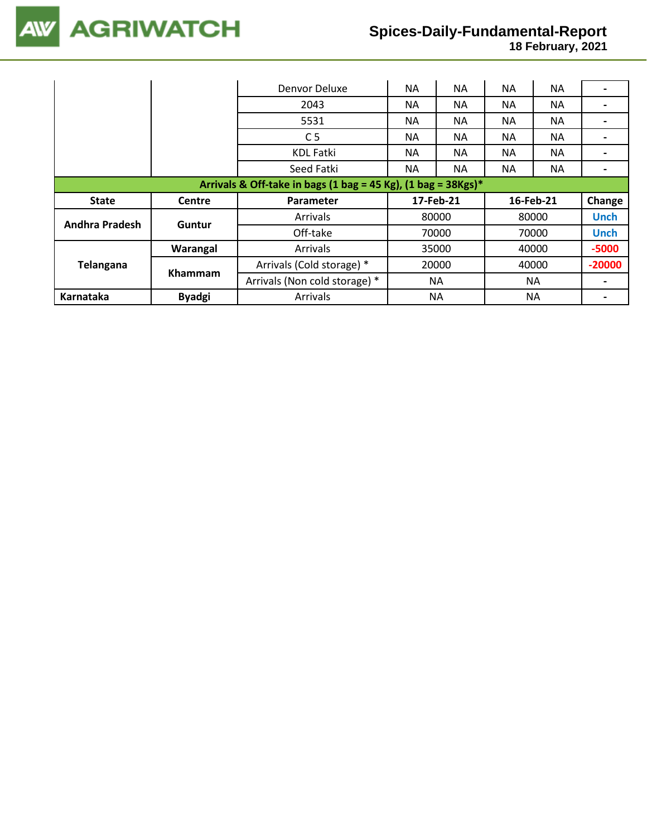

 **18 February, 2021**

|                                                                  |               | Denvor Deluxe                 | NA.       | <b>NA</b> | ΝA        | <b>NA</b> |             |
|------------------------------------------------------------------|---------------|-------------------------------|-----------|-----------|-----------|-----------|-------------|
|                                                                  |               | 2043                          | NА        | <b>NA</b> | <b>NA</b> | NA.       |             |
|                                                                  |               | 5531                          | NA.       | <b>NA</b> | <b>NA</b> | NA.       |             |
|                                                                  |               | C <sub>5</sub>                | NA.       | <b>NA</b> | ΝA        | NA.       |             |
|                                                                  |               | <b>KDL Fatki</b>              | NA.       | <b>NA</b> | <b>NA</b> | <b>NA</b> |             |
|                                                                  |               | Seed Fatki                    | ΝA        | <b>NA</b> | <b>NA</b> | NA.       |             |
| Arrivals & Off-take in bags (1 bag = 45 Kg), (1 bag = $38Kgs$ )* |               |                               |           |           |           |           |             |
|                                                                  |               |                               |           |           |           |           |             |
| <b>State</b>                                                     | <b>Centre</b> | <b>Parameter</b>              | 17-Feb-21 |           |           | 16-Feb-21 | Change      |
|                                                                  |               | Arrivals                      |           | 80000     |           | 80000     | <b>Unch</b> |
| <b>Andhra Pradesh</b>                                            | Guntur        | Off-take                      |           | 70000     |           | 70000     | <b>Unch</b> |
|                                                                  | Warangal      | Arrivals                      |           | 35000     |           | 40000     | $-5000$     |
| Telangana                                                        |               | Arrivals (Cold storage) *     |           | 20000     |           | 40000     | $-20000$    |
|                                                                  | Khammam       | Arrivals (Non cold storage) * |           | ΝA        |           | ΝA        |             |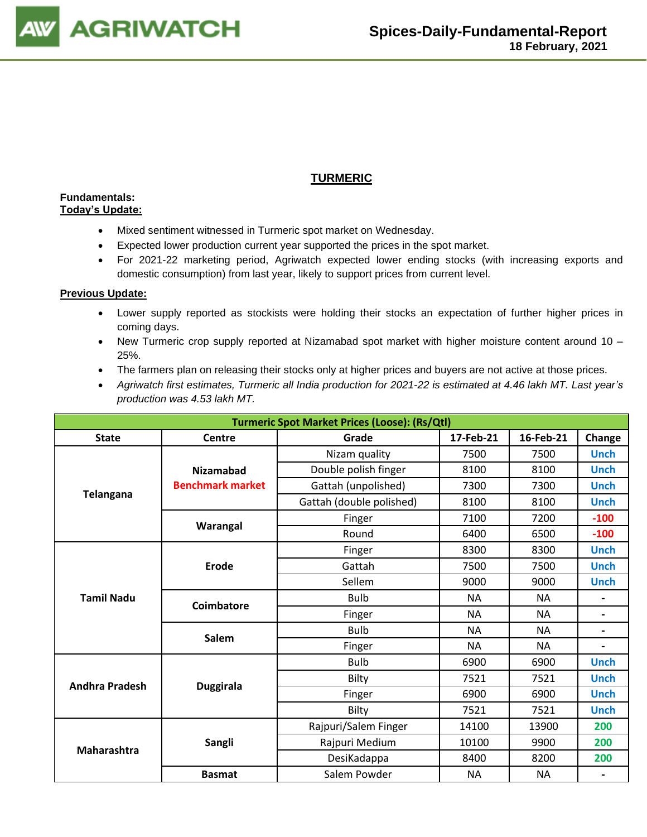

# **TURMERIC**

#### **Fundamentals: Today's Update:**

- Mixed sentiment witnessed in Turmeric spot market on Wednesday.
- Expected lower production current year supported the prices in the spot market.
- For 2021-22 marketing period, Agriwatch expected lower ending stocks (with increasing exports and domestic consumption) from last year, likely to support prices from current level.

- Lower supply reported as stockists were holding their stocks an expectation of further higher prices in coming days.
- New Turmeric crop supply reported at Nizamabad spot market with higher moisture content around 10 25%.
- The farmers plan on releasing their stocks only at higher prices and buyers are not active at those prices.
- *Agriwatch first estimates, Turmeric all India production for 2021-22 is estimated at 4.46 lakh MT. Last year's production was 4.53 lakh MT.*

| <b>Turmeric Spot Market Prices (Loose): (Rs/Qtl)</b> |                         |                          |           |           |                          |  |  |  |
|------------------------------------------------------|-------------------------|--------------------------|-----------|-----------|--------------------------|--|--|--|
| <b>State</b>                                         | Centre                  | Grade                    | 17-Feb-21 | 16-Feb-21 | Change                   |  |  |  |
|                                                      |                         | Nizam quality            | 7500      | 7500      | <b>Unch</b>              |  |  |  |
|                                                      | <b>Nizamabad</b>        | Double polish finger     | 8100      | 8100      | <b>Unch</b>              |  |  |  |
|                                                      | <b>Benchmark market</b> | Gattah (unpolished)      | 7300      | 7300      | <b>Unch</b>              |  |  |  |
| <b>Telangana</b>                                     |                         | Gattah (double polished) | 8100      | 8100      | <b>Unch</b>              |  |  |  |
|                                                      |                         | Finger                   | 7100      | 7200      | $-100$                   |  |  |  |
|                                                      | Warangal                | Round                    | 6400      | 6500      | $-100$                   |  |  |  |
|                                                      |                         | Finger                   | 8300      | 8300      | <b>Unch</b>              |  |  |  |
|                                                      | <b>Erode</b>            | Gattah                   | 7500      | 7500      | <b>Unch</b>              |  |  |  |
|                                                      |                         | Sellem                   | 9000      | 9000      | <b>Unch</b>              |  |  |  |
| <b>Tamil Nadu</b>                                    | Coimbatore              | <b>Bulb</b>              | <b>NA</b> | <b>NA</b> | $\overline{\phantom{0}}$ |  |  |  |
|                                                      |                         | Finger                   | <b>NA</b> | <b>NA</b> | $\overline{\phantom{a}}$ |  |  |  |
|                                                      | <b>Salem</b>            | <b>Bulb</b>              | <b>NA</b> | <b>NA</b> |                          |  |  |  |
|                                                      |                         | Finger                   | <b>NA</b> | <b>NA</b> |                          |  |  |  |
|                                                      |                         | <b>Bulb</b>              | 6900      | 6900      | <b>Unch</b>              |  |  |  |
| <b>Andhra Pradesh</b>                                |                         | Bilty                    | 7521      | 7521      | <b>Unch</b>              |  |  |  |
|                                                      | <b>Duggirala</b>        | Finger                   | 6900      | 6900      | <b>Unch</b>              |  |  |  |
|                                                      |                         | Bilty                    | 7521      | 7521      | <b>Unch</b>              |  |  |  |
|                                                      |                         | Rajpuri/Salem Finger     | 14100     | 13900     | 200                      |  |  |  |
| Maharashtra                                          | Sangli                  | Rajpuri Medium           | 10100     | 9900      | 200                      |  |  |  |
|                                                      |                         | DesiKadappa              | 8400      | 8200      | 200                      |  |  |  |
|                                                      | <b>Basmat</b>           | Salem Powder             | <b>NA</b> | <b>NA</b> |                          |  |  |  |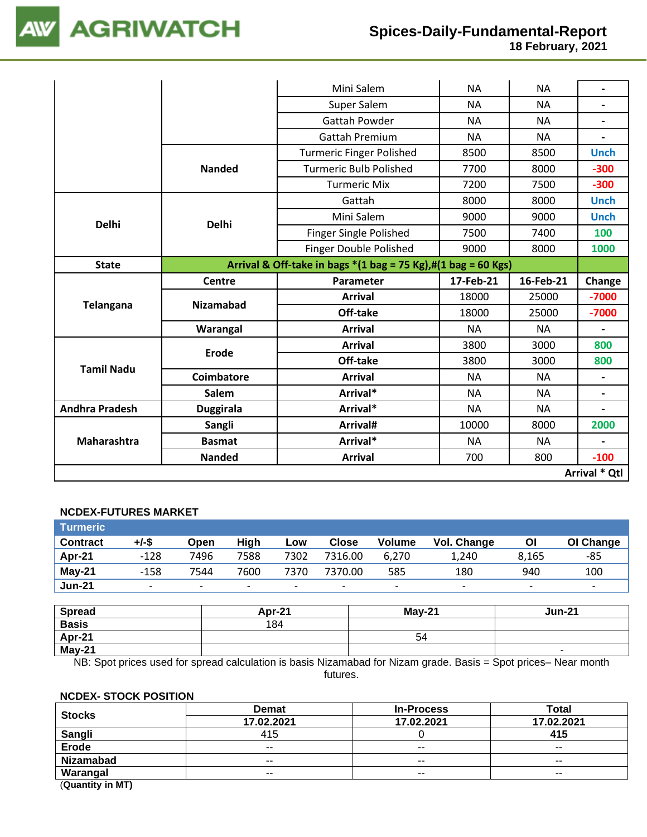

 **18 February, 2021**

|                       |                   | Mini Salem                                                                                      | <b>NA</b> | <b>NA</b> |                          |
|-----------------------|-------------------|-------------------------------------------------------------------------------------------------|-----------|-----------|--------------------------|
|                       |                   | Super Salem                                                                                     | <b>NA</b> | <b>NA</b> |                          |
|                       |                   | <b>Gattah Powder</b>                                                                            | <b>NA</b> | <b>NA</b> |                          |
|                       |                   | <b>Gattah Premium</b>                                                                           | <b>NA</b> | <b>NA</b> |                          |
|                       |                   | <b>Turmeric Finger Polished</b>                                                                 | 8500      | 8500      | <b>Unch</b>              |
|                       | <b>Nanded</b>     | <b>Turmeric Bulb Polished</b>                                                                   | 7700      | 8000      | $-300$                   |
|                       |                   | <b>Turmeric Mix</b>                                                                             | 7200      | 7500      | $-300$                   |
|                       |                   | Gattah                                                                                          | 8000      | 8000      | <b>Unch</b>              |
| <b>Delhi</b>          | <b>Delhi</b>      | Mini Salem                                                                                      | 9000      | 9000      | <b>Unch</b>              |
|                       |                   | Finger Single Polished                                                                          | 7500      | 7400      | 100                      |
|                       |                   | <b>Finger Double Polished</b>                                                                   | 9000      | 8000      | 1000                     |
| <b>State</b>          |                   | Arrival & Off-take in bags $*(1 \text{ bag} = 75 \text{ Kg}),\#(1 \text{ bag} = 60 \text{ Kg})$ |           |           |                          |
|                       | <b>Centre</b>     | Parameter                                                                                       | 17-Feb-21 | 16-Feb-21 | Change                   |
| <b>Telangana</b>      | <b>Nizamabad</b>  | <b>Arrival</b>                                                                                  | 18000     | 25000     | $-7000$                  |
|                       |                   | Off-take                                                                                        | 18000     | 25000     | $-7000$                  |
|                       | Warangal          | <b>Arrival</b>                                                                                  | <b>NA</b> | <b>NA</b> | $\overline{\phantom{a}}$ |
|                       | <b>Erode</b>      | <b>Arrival</b>                                                                                  | 3800      | 3000      | 800                      |
| <b>Tamil Nadu</b>     |                   | Off-take                                                                                        | 3800      | 3000      | 800                      |
|                       | <b>Coimbatore</b> | <b>Arrival</b>                                                                                  | <b>NA</b> | <b>NA</b> |                          |
|                       | Salem             | Arrival*                                                                                        | <b>NA</b> | <b>NA</b> | $\overline{\phantom{0}}$ |
| <b>Andhra Pradesh</b> | <b>Duggirala</b>  | Arrival*                                                                                        | <b>NA</b> | <b>NA</b> |                          |
|                       | Sangli            | Arrival#                                                                                        | 10000     | 8000      | 2000                     |
| Maharashtra           | <b>Basmat</b>     | Arrival*                                                                                        | <b>NA</b> | <b>NA</b> |                          |
|                       | <b>Nanded</b>     | <b>Arrival</b>                                                                                  | 700       | 800       | $-100$                   |
|                       |                   |                                                                                                 |           |           | Arrival * Qtl            |

## **NCDEX-FUTURES MARKET**

| <b>Turmeric</b> |                          |      |      |      |                          |               |                          |       |           |
|-----------------|--------------------------|------|------|------|--------------------------|---------------|--------------------------|-------|-----------|
| <b>Contract</b> | +/-\$                    | Open | High | Low  | <b>Close</b>             | <b>Volume</b> | Vol. Change              | Οl    | OI Change |
| Apr-21          | $-128$                   | 7496 | 7588 | 7302 | 7316.00                  | 6.270         | 1,240                    | 8.165 | -85       |
| <b>May-21</b>   | $-158$                   | 7544 | 7600 | 7370 | 7370.00                  | 585           | 180                      | 940   | 100       |
| <b>Jun-21</b>   | $\overline{\phantom{a}}$ |      |      |      | $\overline{\phantom{a}}$ | ۰             | $\overline{\phantom{a}}$ |       |           |

| <b>Spread</b> | Apr-21 | <b>May-21</b> | <b>Jun-21</b> |
|---------------|--------|---------------|---------------|
| <b>Basis</b>  | 184    |               |               |
| Apr-21        |        | 54            |               |
| May-21        |        |               |               |

NB: Spot prices used for spread calculation is basis Nizamabad for Nizam grade. Basis = Spot prices– Near month futures.

#### **NCDEX- STOCK POSITION**

| <b>Stocks</b>    | <b>Demat</b> | <b>In-Process</b> | Total      |
|------------------|--------------|-------------------|------------|
|                  | 17.02.2021   | 17.02.2021        | 17.02.2021 |
| <b>Sangli</b>    | 415          |                   | 415        |
| <b>Erode</b>     | $- -$        | $- -$             | $- -$      |
| <b>Nizamabad</b> | $- -$        | $- -$             | $- -$      |
| Warangal         | $- -$        | $- -$             | $- -$      |
| (①               |              |                   |            |

(**Quantity in MT)**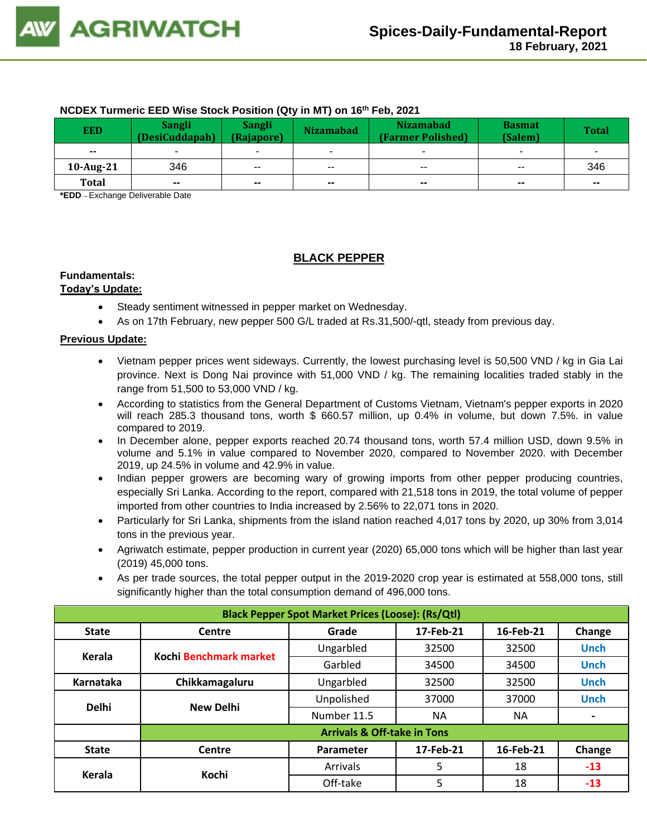## **NCDEX Turmeric EED Wise Stock Position (Qty in MT) on 16 th Feb, 2021**

| <b>EED</b>   | <b>Sangli</b><br>(DesiCuddapah) | <b>Sangli</b><br>(Rajapore) | <b>Nizamabad</b>         | <b>Nizamabad</b><br>(Farmer Polished) | <b>Basmat</b><br>(Salem) | <b>Total</b> |
|--------------|---------------------------------|-----------------------------|--------------------------|---------------------------------------|--------------------------|--------------|
| $- -$        |                                 | $\overline{\phantom{a}}$    |                          |                                       | ۰                        | ۰            |
| 10-Aug-21    | 346                             | $\overline{\phantom{a}}$    | $\overline{\phantom{a}}$ | $\overline{\phantom{a}}$              | $\overline{\phantom{a}}$ | 346          |
| <b>Total</b> | $\sim$                          | $\sim$                      | $\sim$                   | $\sim$                                | $- -$                    | $\sim$       |

**\*EDD** – Exchange Deliverable Date

# **BLACK PEPPER**

# **Fundamentals:**

#### **Today's Update:**

- Steady sentiment witnessed in pepper market on Wednesday.
- As on 17th February, new pepper 500 G/L traded at Rs.31,500/-qtl, steady from previous day.

- Vietnam pepper prices went sideways. Currently, the lowest purchasing level is 50,500 VND / kg in Gia Lai province. Next is Dong Nai province with 51,000 VND / kg. The remaining localities traded stably in the range from 51,500 to 53,000 VND / kg.
- According to statistics from the General Department of Customs Vietnam, Vietnam's pepper exports in 2020 will reach 285.3 thousand tons, worth \$ 660.57 million, up 0.4% in volume, but down 7.5%. in value compared to 2019.
- In December alone, pepper exports reached 20.74 thousand tons, worth 57.4 million USD, down 9.5% in volume and 5.1% in value compared to November 2020, compared to November 2020. with December 2019, up 24.5% in volume and 42.9% in value.
- Indian pepper growers are becoming wary of growing imports from other pepper producing countries, especially Sri Lanka. According to the report, compared with 21,518 tons in 2019, the total volume of pepper imported from other countries to India increased by 2.56% to 22,071 tons in 2020.
- Particularly for Sri Lanka, shipments from the island nation reached 4,017 tons by 2020, up 30% from 3,014 tons in the previous year.
- Agriwatch estimate, pepper production in current year (2020) 65,000 tons which will be higher than last year (2019) 45,000 tons.
- As per trade sources, the total pepper output in the 2019-2020 crop year is estimated at 558,000 tons, still significantly higher than the total consumption demand of 496,000 tons.

| <b>Black Pepper Spot Market Prices (Loose): (Rs/Qtl)</b> |                                                     |                                        |           |           |             |  |  |  |  |
|----------------------------------------------------------|-----------------------------------------------------|----------------------------------------|-----------|-----------|-------------|--|--|--|--|
| <b>State</b>                                             | 17-Feb-21<br>16-Feb-21<br>Change<br>Centre<br>Grade |                                        |           |           |             |  |  |  |  |
| Kerala                                                   | Kochi Benchmark market                              | Ungarbled                              | 32500     | 32500     | <b>Unch</b> |  |  |  |  |
|                                                          |                                                     | Garbled                                | 34500     | 34500     | <b>Unch</b> |  |  |  |  |
| Karnataka                                                | Chikkamagaluru                                      | Ungarbled                              | 32500     | 32500     | <b>Unch</b> |  |  |  |  |
| <b>Delhi</b>                                             | <b>New Delhi</b>                                    | Unpolished                             | 37000     | 37000     | <b>Unch</b> |  |  |  |  |
|                                                          |                                                     | Number 11.5                            | <b>NA</b> | <b>NA</b> |             |  |  |  |  |
|                                                          |                                                     | <b>Arrivals &amp; Off-take in Tons</b> |           |           |             |  |  |  |  |
| <b>State</b>                                             | Centre                                              | Parameter                              | 17-Feb-21 | 16-Feb-21 | Change      |  |  |  |  |
| Kerala                                                   | Kochi                                               | Arrivals                               | 5         | 18        | $-13$       |  |  |  |  |
|                                                          |                                                     | Off-take                               | 5         | 18        | $-13$       |  |  |  |  |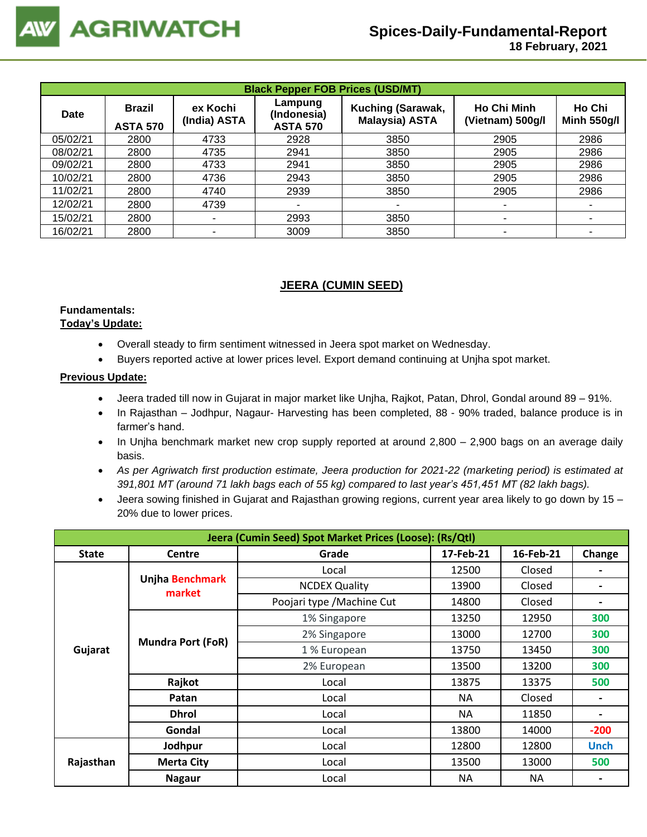| <b>Black Pepper FOB Prices (USD/MT)</b> |                                  |                          |                                           |                                            |                                        |                              |  |  |
|-----------------------------------------|----------------------------------|--------------------------|-------------------------------------------|--------------------------------------------|----------------------------------------|------------------------------|--|--|
| <b>Date</b>                             | <b>Brazil</b><br><b>ASTA 570</b> | ex Kochi<br>(India) ASTA | Lampung<br>(Indonesia)<br><b>ASTA 570</b> | Kuching (Sarawak,<br><b>Malaysia) ASTA</b> | <b>Ho Chi Minh</b><br>(Vietnam) 500g/l | Ho Chi<br><b>Minh 550g/l</b> |  |  |
| 05/02/21                                | 2800                             | 4733                     | 2928                                      | 3850                                       | 2905                                   | 2986                         |  |  |
| 08/02/21                                | 2800                             | 4735                     | 2941                                      | 3850                                       | 2905                                   | 2986                         |  |  |
| 09/02/21                                | 2800                             | 4733                     | 2941                                      | 3850                                       | 2905                                   | 2986                         |  |  |
| 10/02/21                                | 2800                             | 4736                     | 2943                                      | 3850                                       | 2905                                   | 2986                         |  |  |
| 11/02/21                                | 2800                             | 4740                     | 2939                                      | 3850                                       | 2905                                   | 2986                         |  |  |
| 12/02/21                                | 2800                             | 4739                     |                                           |                                            |                                        | ٠                            |  |  |
| 15/02/21                                | 2800                             |                          | 2993                                      | 3850                                       | ۰                                      | ۰                            |  |  |
| 16/02/21                                | 2800                             |                          | 3009                                      | 3850                                       | ۰                                      |                              |  |  |

# **JEERA (CUMIN SEED)**

#### **Fundamentals: Today's Update:**

- Overall steady to firm sentiment witnessed in Jeera spot market on Wednesday.
- Buyers reported active at lower prices level. Export demand continuing at Unjha spot market.

- Jeera traded till now in Gujarat in major market like Unjha, Rajkot, Patan, Dhrol, Gondal around 89 91%.
- In Rajasthan Jodhpur, Nagaur- Harvesting has been completed, 88 90% traded, balance produce is in farmer's hand.
- In Unjha benchmark market new crop supply reported at around 2,800 2,900 bags on an average daily basis.
- *As per Agriwatch first production estimate, Jeera production for 2021-22 (marketing period) is estimated at 391,801 MT (around 71 lakh bags each of 55 kg) compared to last year's 451,451 MT (82 lakh bags).*
- Jeera sowing finished in Gujarat and Rajasthan growing regions, current year area likely to go down by 15 20% due to lower prices.

| Jeera (Cumin Seed) Spot Market Prices (Loose): (Rs/Qtl) |                           |                            |           |           |                |  |  |  |
|---------------------------------------------------------|---------------------------|----------------------------|-----------|-----------|----------------|--|--|--|
| <b>State</b>                                            | <b>Centre</b>             | Grade                      | 17-Feb-21 | 16-Feb-21 | Change         |  |  |  |
|                                                         |                           | Local                      | 12500     | Closed    |                |  |  |  |
|                                                         | Unjha Benchmark<br>market | <b>NCDEX Quality</b>       | 13900     | Closed    | $\blacksquare$ |  |  |  |
|                                                         |                           | Poojari type / Machine Cut | 14800     | Closed    |                |  |  |  |
|                                                         |                           | 1% Singapore               | 13250     | 12950     | 300            |  |  |  |
|                                                         |                           | 2% Singapore               | 13000     | 12700     | 300            |  |  |  |
| Gujarat                                                 | <b>Mundra Port (FoR)</b>  | 1 % European               | 13750     | 13450     | 300            |  |  |  |
|                                                         |                           | 2% European                | 13500     | 13200     | 300            |  |  |  |
|                                                         | Rajkot                    | Local                      | 13875     | 13375     | 500            |  |  |  |
|                                                         | Patan                     | Local                      | NA.       | Closed    |                |  |  |  |
|                                                         | <b>Dhrol</b>              | Local                      | <b>NA</b> | 11850     |                |  |  |  |
|                                                         | Gondal                    | Local                      | 13800     | 14000     | $-200$         |  |  |  |
|                                                         | Jodhpur                   | Local                      | 12800     | 12800     | <b>Unch</b>    |  |  |  |
| Rajasthan                                               | <b>Merta City</b>         | Local                      | 13500     | 13000     | 500            |  |  |  |
|                                                         | <b>Nagaur</b>             | Local                      | <b>NA</b> | NA        |                |  |  |  |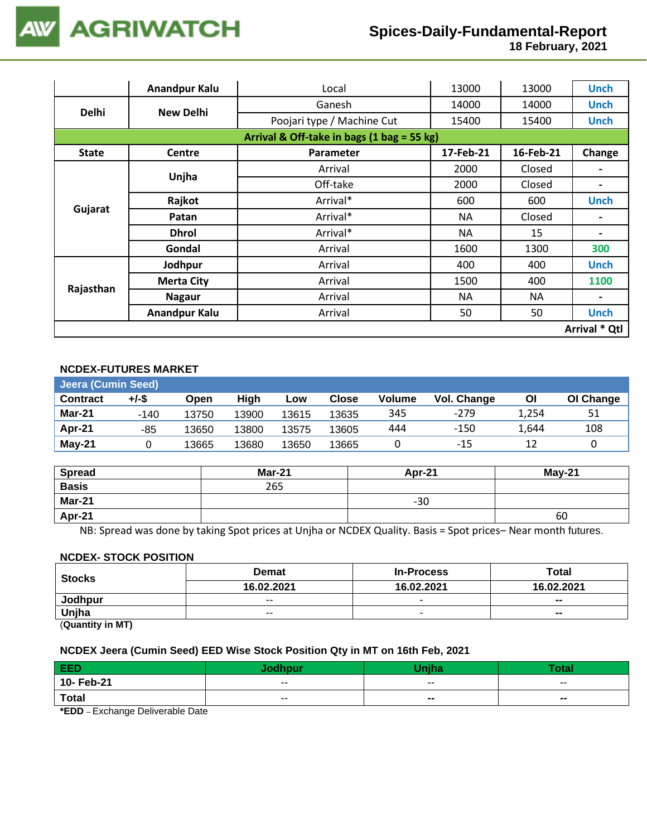**18 February, 2021**

|                                            | <b>Anandpur Kalu</b> | Local                      | 13000     | 13000     | <b>Unch</b>   |  |
|--------------------------------------------|----------------------|----------------------------|-----------|-----------|---------------|--|
| <b>Delhi</b>                               |                      | Ganesh                     | 14000     | 14000     | <b>Unch</b>   |  |
|                                            | <b>New Delhi</b>     | Poojari type / Machine Cut | 15400     | 15400     | <b>Unch</b>   |  |
| Arrival & Off-take in bags (1 bag = 55 kg) |                      |                            |           |           |               |  |
| <b>State</b>                               | <b>Centre</b>        | Parameter                  | 17-Feb-21 | 16-Feb-21 | Change        |  |
|                                            |                      | Arrival                    | 2000      | Closed    |               |  |
|                                            | Unjha                | Off-take                   | 2000      | Closed    | Ξ.            |  |
|                                            | Rajkot               | Arrival*                   | 600       | 600       | <b>Unch</b>   |  |
| Gujarat                                    | Patan                | Arrival*                   | <b>NA</b> | Closed    |               |  |
|                                            | <b>Dhrol</b>         | Arrival*                   | NA        | 15        |               |  |
|                                            | Gondal               | Arrival                    | 1600      | 1300      | 300           |  |
|                                            | Jodhpur              | Arrival                    | 400       | 400       | <b>Unch</b>   |  |
|                                            | <b>Merta City</b>    | Arrival                    | 1500      | 400       | 1100          |  |
| Rajasthan                                  | <b>Nagaur</b>        | Arrival                    | NA.       | NA        |               |  |
|                                            | <b>Anandpur Kalu</b> | Arrival                    | 50        | 50        | <b>Unch</b>   |  |
|                                            |                      |                            |           |           | Arrival * Qtl |  |

### **NCDEX-FUTURES MARKET**

| <b>Jeera (Cumin Seed)</b> |        |       |       |       |       |               |             |       |           |  |
|---------------------------|--------|-------|-------|-------|-------|---------------|-------------|-------|-----------|--|
| <b>Contract</b>           | +/-\$  | Open  | High  | Low   | Close | <b>Volume</b> | Vol. Change | Οl    | OI Change |  |
| Mar-21                    | $-140$ | 13750 | 13900 | 13615 | 13635 | 345           | $-279$      | 1,254 | 51        |  |
| Apr-21                    | -85    | 13650 | 13800 | 13575 | 13605 | 444           | $-150$      | 1.644 | 108       |  |
| May-21                    |        | 13665 | 13680 | 13650 | 13665 |               | -15         |       |           |  |

| <b>Spread</b> | <b>Mar-21</b> | Apr-21 | $May-21$ |
|---------------|---------------|--------|----------|
| <b>Basis</b>  | 265           |        |          |
| Mar-21        |               | $-30$  |          |
| Apr-21        |               |        | 60       |

NB: Spread was done by taking Spot prices at Unjha or NCDEX Quality. Basis = Spot prices– Near month futures.

#### **NCDEX- STOCK POSITION**

| <b>Stocks</b> | <b>Demat</b>             | <b>In-Process</b>    | Total                    |
|---------------|--------------------------|----------------------|--------------------------|
|               | 16.02.2021               | 16.02.2021<br>$\sim$ | 16.02.2021               |
| Jodhpur       | $- -$                    |                      | $\overline{\phantom{a}}$ |
| Unjha         | $\overline{\phantom{a}}$ |                      | $\blacksquare$           |
| (n1N)         |                          |                      |                          |

(**Quantity in MT)**

#### **NCDEX Jeera (Cumin Seed) EED Wise Stock Position Qty in MT on 16th Feb, 2021**

| EED                                                                                     |       | <b>Maiha</b> | Total  |
|-----------------------------------------------------------------------------------------|-------|--------------|--------|
| 10- Feb-21                                                                              | $- -$ | $- -$        | $- -$  |
| <b>Total</b>                                                                            | $- -$ | --           | $\sim$ |
| $\mathbf{r} = \mathbf{r} \cdot \mathbf{r}$<br>$\sim$ $\sim$<br>$\cdots$ $\sim$ $\cdots$ |       |              |        |

**\*EDD** – Exchange Deliverable Date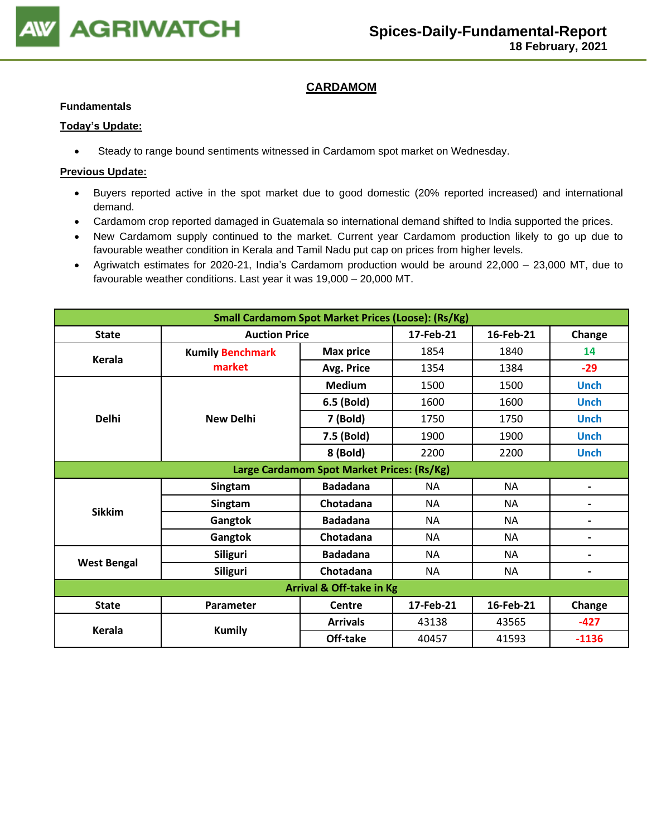

# **CARDAMOM**

#### **Fundamentals**

#### **Today's Update:**

• Steady to range bound sentiments witnessed in Cardamom spot market on Wednesday.

- Buyers reported active in the spot market due to good domestic (20% reported increased) and international demand.
- Cardamom crop reported damaged in Guatemala so international demand shifted to India supported the prices.
- New Cardamom supply continued to the market. Current year Cardamom production likely to go up due to favourable weather condition in Kerala and Tamil Nadu put cap on prices from higher levels.
- Agriwatch estimates for 2020-21, India's Cardamom production would be around 22,000 23,000 MT, due to favourable weather conditions. Last year it was 19,000 – 20,000 MT.

| <b>Small Cardamom Spot Market Prices (Loose): (Rs/Kg)</b> |                         |                                                                                                                                                                                                                                                                                                                                             |                          |           |                          |  |  |  |
|-----------------------------------------------------------|-------------------------|---------------------------------------------------------------------------------------------------------------------------------------------------------------------------------------------------------------------------------------------------------------------------------------------------------------------------------------------|--------------------------|-----------|--------------------------|--|--|--|
| <b>State</b>                                              |                         |                                                                                                                                                                                                                                                                                                                                             | 17-Feb-21                | 16-Feb-21 | Change                   |  |  |  |
| Kerala                                                    | <b>Kumily Benchmark</b> | <b>Max price</b>                                                                                                                                                                                                                                                                                                                            | 1854                     | 1840      | 14                       |  |  |  |
|                                                           | market                  | Avg. Price                                                                                                                                                                                                                                                                                                                                  | 1354                     | 1384      | $-29$                    |  |  |  |
|                                                           |                         | <b>Medium</b>                                                                                                                                                                                                                                                                                                                               | 1500                     | 1500      | <b>Unch</b>              |  |  |  |
|                                                           |                         | 6.5 (Bold)                                                                                                                                                                                                                                                                                                                                  | 1600                     | 1600      | <b>Unch</b>              |  |  |  |
| <b>Delhi</b>                                              | <b>New Delhi</b>        | 7 (Bold)                                                                                                                                                                                                                                                                                                                                    | 1750                     | 1750      | <b>Unch</b>              |  |  |  |
|                                                           |                         | 7.5 (Bold)                                                                                                                                                                                                                                                                                                                                  | 1900                     | 1900      | <b>Unch</b>              |  |  |  |
|                                                           |                         | 8 (Bold)                                                                                                                                                                                                                                                                                                                                    | 2200                     | 2200      | <b>Unch</b>              |  |  |  |
|                                                           |                         |                                                                                                                                                                                                                                                                                                                                             |                          |           |                          |  |  |  |
|                                                           | Singtam                 | <b>Badadana</b>                                                                                                                                                                                                                                                                                                                             | <b>NA</b>                | <b>NA</b> | $\blacksquare$           |  |  |  |
| <b>Sikkim</b>                                             | Singtam                 | Chotadana                                                                                                                                                                                                                                                                                                                                   | <b>NA</b>                | <b>NA</b> |                          |  |  |  |
|                                                           | Gangtok                 | <b>Badadana</b>                                                                                                                                                                                                                                                                                                                             | <b>NA</b>                | <b>NA</b> | $\overline{\phantom{0}}$ |  |  |  |
|                                                           | Gangtok                 | <b>Auction Price</b><br>Large Cardamom Spot Market Prices: (Rs/Kg)<br>Chotadana<br><b>NA</b><br><b>NA</b><br><b>Badadana</b><br><b>NA</b><br><b>NA</b><br>Chotadana<br><b>NA</b><br><b>NA</b><br><b>Arrival &amp; Off-take in Kg</b><br>16-Feb-21<br>17-Feb-21<br>Centre<br><b>Arrivals</b><br>43138<br>43565<br>Off-take<br>40457<br>41593 | $\overline{\phantom{0}}$ |           |                          |  |  |  |
|                                                           | <b>Siliguri</b>         |                                                                                                                                                                                                                                                                                                                                             |                          |           |                          |  |  |  |
| <b>West Bengal</b>                                        | <b>Siliguri</b>         |                                                                                                                                                                                                                                                                                                                                             |                          |           | $\overline{\phantom{0}}$ |  |  |  |
|                                                           |                         |                                                                                                                                                                                                                                                                                                                                             |                          |           |                          |  |  |  |
| <b>State</b>                                              | Parameter               |                                                                                                                                                                                                                                                                                                                                             |                          |           | Change                   |  |  |  |
| Kerala                                                    |                         |                                                                                                                                                                                                                                                                                                                                             |                          |           | $-427$                   |  |  |  |
|                                                           | <b>Kumily</b>           |                                                                                                                                                                                                                                                                                                                                             |                          |           | $-1136$                  |  |  |  |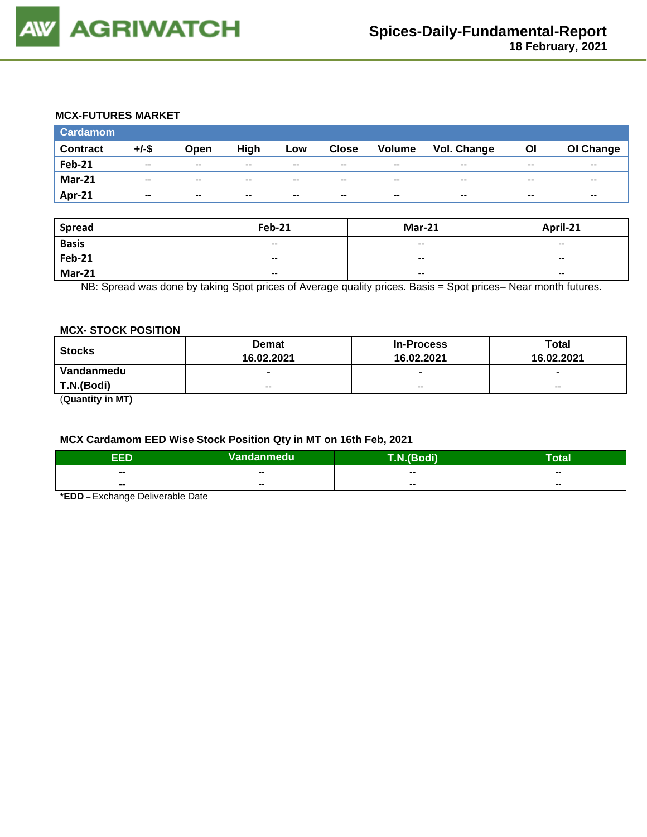

#### **MCX-FUTURES MARKET**

| <b>Cardamom</b> |          |                          |       |                          |              |                          |                    |       |           |
|-----------------|----------|--------------------------|-------|--------------------------|--------------|--------------------------|--------------------|-------|-----------|
| <b>Contract</b> | $+/-$ \$ | Open                     | High  | Low                      | <b>Close</b> | Volume                   | <b>Vol. Change</b> | ΟI    | OI Change |
| <b>Feb-21</b>   | $- -$    | $\overline{\phantom{m}}$ | $- -$ | $\overline{\phantom{a}}$ | $- -$        | $- -$                    | $- -$              | $- -$ | $- -$     |
| <b>Mar-21</b>   | $- -$    | $- -$                    | --    | $\overline{\phantom{a}}$ | $- -$        | $- -$                    | $- -$              | $- -$ | $- -$     |
| Apr-21          | $-$      | $-$                      | $- -$ | $-$                      | $-$          | $\overline{\phantom{a}}$ | $- -$              | $- -$ | $- -$     |

| Spread        | <b>Feb-21</b>            | <b>Mar-21</b>            | April-21                 |
|---------------|--------------------------|--------------------------|--------------------------|
| <b>Basis</b>  | $\overline{\phantom{a}}$ | $\overline{\phantom{a}}$ | $\overline{\phantom{a}}$ |
| <b>Feb-21</b> | $\overline{\phantom{a}}$ | $-$                      | $\sim$                   |
| <b>Mar-21</b> | $\overline{\phantom{a}}$ | $- -$                    | $- -$                    |

NB: Spread was done by taking Spot prices of Average quality prices. Basis = Spot prices– Near month futures.

#### **MCX- STOCK POSITION**

| <b>Stocks</b> | <b>Demat</b>             | <b>In-Process</b>        | Total                    |
|---------------|--------------------------|--------------------------|--------------------------|
|               | 16.02.2021               | 16.02.2021               | 16.02.2021               |
| Vandanmedu    | $\overline{\phantom{0}}$ | $\overline{\phantom{0}}$ | $\overline{\phantom{0}}$ |
| T.N.(Bodi)    | $- -$                    | $\sim$ $\sim$            | $-$                      |
|               |                          |                          |                          |

(**Quantity in MT)**

#### **MCX Cardamom EED Wise Stock Position Qty in MT on 16th Feb, 2021**

| ъ<br>-15                 | Vandanmedu <sup> </sup> | (Bodi). | –<br><b>otal</b> |
|--------------------------|-------------------------|---------|------------------|
| --                       | $- -$                   | $- -$   | $- -$            |
| $\overline{\phantom{a}}$ | $- -$                   | $- -$   | $- -$            |

**\*EDD** – Exchange Deliverable Date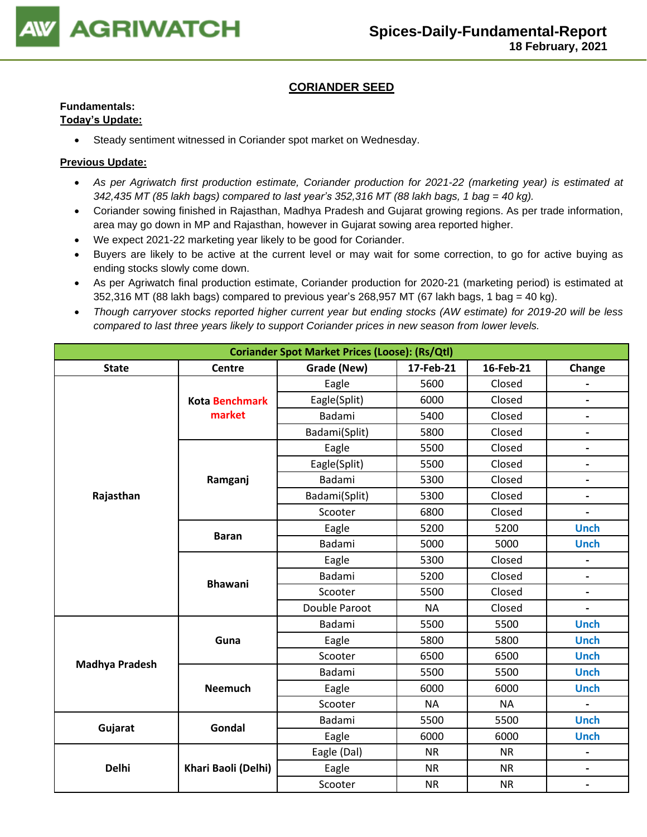

# **CORIANDER SEED**

# **Fundamentals:**

## **Today's Update:**

• Steady sentiment witnessed in Coriander spot market on Wednesday.

- *As per Agriwatch first production estimate, Coriander production for 2021-22 (marketing year) is estimated at 342,435 MT (85 lakh bags) compared to last year's 352,316 MT (88 lakh bags, 1 bag = 40 kg).*
- Coriander sowing finished in Rajasthan, Madhya Pradesh and Gujarat growing regions. As per trade information, area may go down in MP and Rajasthan, however in Gujarat sowing area reported higher.
- We expect 2021-22 marketing year likely to be good for Coriander.
- Buyers are likely to be active at the current level or may wait for some correction, to go for active buying as ending stocks slowly come down.
- As per Agriwatch final production estimate, Coriander production for 2020-21 (marketing period) is estimated at  $352,316$  MT (88 lakh bags) compared to previous year's 268,957 MT (67 lakh bags, 1 bag = 40 kg).
- *Though carryover stocks reported higher current year but ending stocks (AW estimate) for 2019-20 will be less compared to last three years likely to support Coriander prices in new season from lower levels.*

| <b>Coriander Spot Market Prices (Loose): (Rs/Qtl)</b> |                       |               |           |           |                              |  |  |  |
|-------------------------------------------------------|-----------------------|---------------|-----------|-----------|------------------------------|--|--|--|
| <b>State</b>                                          | Centre                | Grade (New)   | 17-Feb-21 | 16-Feb-21 | Change                       |  |  |  |
|                                                       |                       | Eagle         | 5600      | Closed    |                              |  |  |  |
|                                                       | <b>Kota Benchmark</b> | Eagle(Split)  | 6000      | Closed    | $\overline{\phantom{a}}$     |  |  |  |
|                                                       | market                | Badami        | 5400      | Closed    | $\overline{\phantom{a}}$     |  |  |  |
|                                                       |                       | Badami(Split) | 5800      | Closed    | $\qquad \qquad \blacksquare$ |  |  |  |
|                                                       |                       | Eagle         | 5500      | Closed    | $\overline{\phantom{a}}$     |  |  |  |
|                                                       |                       | Eagle(Split)  | 5500      | Closed    | $\overline{\phantom{a}}$     |  |  |  |
|                                                       | Ramganj               | Badami        | 5300      | Closed    | $\overline{\phantom{0}}$     |  |  |  |
| Rajasthan                                             |                       | Badami(Split) | 5300      | Closed    | $\overline{\phantom{a}}$     |  |  |  |
|                                                       |                       | Scooter       | 6800      | Closed    |                              |  |  |  |
|                                                       | <b>Baran</b>          | Eagle         | 5200      | 5200      | <b>Unch</b>                  |  |  |  |
|                                                       |                       | Badami        | 5000      | 5000      | <b>Unch</b>                  |  |  |  |
|                                                       |                       | Eagle         | 5300      | Closed    |                              |  |  |  |
|                                                       | <b>Bhawani</b>        | Badami        | 5200      | Closed    | $\blacksquare$               |  |  |  |
|                                                       |                       | Scooter       | 5500      | Closed    | $\blacksquare$               |  |  |  |
|                                                       |                       | Double Paroot | <b>NA</b> | Closed    | $\overline{\phantom{a}}$     |  |  |  |
|                                                       |                       | Badami        | 5500      | 5500      | <b>Unch</b>                  |  |  |  |
|                                                       | Guna                  | Eagle         | 5800      | 5800      | <b>Unch</b>                  |  |  |  |
| <b>Madhya Pradesh</b>                                 |                       | Scooter       | 6500      | 6500      | <b>Unch</b>                  |  |  |  |
|                                                       |                       | Badami        | 5500      | 5500      | <b>Unch</b>                  |  |  |  |
|                                                       | <b>Neemuch</b>        | Eagle         | 6000      | 6000      | <b>Unch</b>                  |  |  |  |
|                                                       |                       | Scooter       | <b>NA</b> | <b>NA</b> | $\blacksquare$               |  |  |  |
| Gujarat                                               | Gondal                | Badami        | 5500      | 5500      | <b>Unch</b>                  |  |  |  |
|                                                       |                       | Eagle         | 6000      | 6000      | <b>Unch</b>                  |  |  |  |
|                                                       |                       | Eagle (Dal)   | <b>NR</b> | <b>NR</b> |                              |  |  |  |
| <b>Delhi</b>                                          | Khari Baoli (Delhi)   | Eagle         | <b>NR</b> | <b>NR</b> | $\blacksquare$               |  |  |  |
|                                                       |                       | Scooter       | <b>NR</b> | <b>NR</b> | $\overline{\phantom{a}}$     |  |  |  |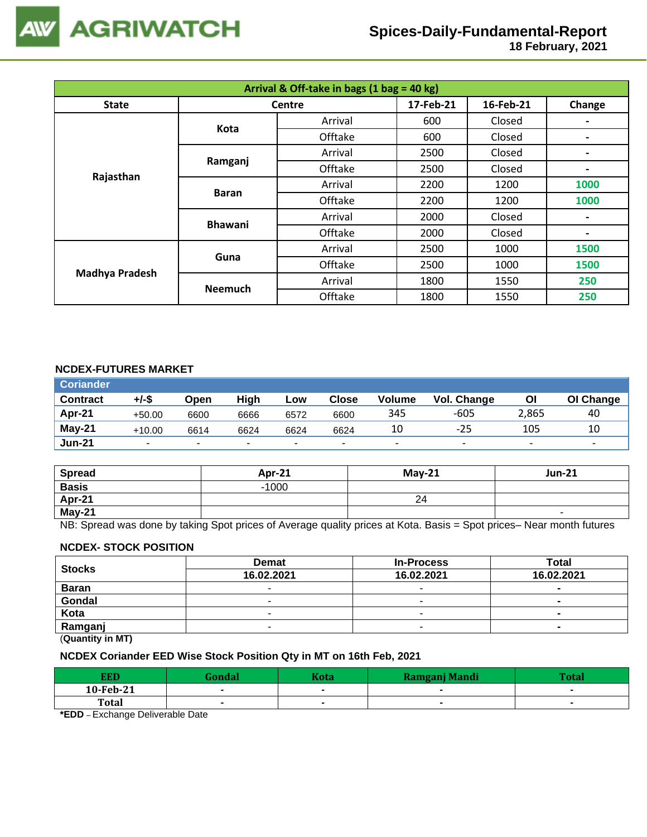

 **18 February, 2021**

| Arrival & Off-take in bags (1 bag = 40 kg) |                |               |           |           |                          |  |  |  |  |  |
|--------------------------------------------|----------------|---------------|-----------|-----------|--------------------------|--|--|--|--|--|
| <b>State</b>                               |                | <b>Centre</b> | 17-Feb-21 | 16-Feb-21 | Change                   |  |  |  |  |  |
|                                            | Kota           | Arrival       | 600       | Closed    |                          |  |  |  |  |  |
|                                            |                | Offtake       | 600       | Closed    |                          |  |  |  |  |  |
|                                            | Ramganj        | Arrival       | 2500      | Closed    |                          |  |  |  |  |  |
| Rajasthan                                  |                | Offtake       | 2500      | Closed    | $\overline{\phantom{0}}$ |  |  |  |  |  |
|                                            | <b>Baran</b>   | Arrival       | 2200      | 1200      | 1000                     |  |  |  |  |  |
|                                            |                | Offtake       | 2200      | 1200      | 1000                     |  |  |  |  |  |
|                                            | <b>Bhawani</b> | Arrival       | 2000      | Closed    | $\blacksquare$           |  |  |  |  |  |
|                                            |                | Offtake       | 2000      | Closed    | $\blacksquare$           |  |  |  |  |  |
|                                            | Guna           | Arrival       | 2500      | 1000      | 1500                     |  |  |  |  |  |
| <b>Madhya Pradesh</b>                      |                | Offtake       | 2500      | 1000      | 1500                     |  |  |  |  |  |
|                                            | <b>Neemuch</b> | Arrival       | 1800      | 1550      | 250                      |  |  |  |  |  |
|                                            |                | Offtake       | 1800      | 1550      | 250                      |  |  |  |  |  |

### **NCDEX-FUTURES MARKET**

| <b>Coriander</b> |          |                          |      |        |                          |                          |                          |       |           |
|------------------|----------|--------------------------|------|--------|--------------------------|--------------------------|--------------------------|-------|-----------|
| <b>Contract</b>  | +/-\$    | Open                     | High | Low    | Close                    | <b>Volume</b>            | <b>Vol. Change</b>       | Οl    | OI Change |
| Apr-21           | $+50.00$ | 6600                     | 6666 | 6572   | 6600                     | 345                      | $-605$                   | 2,865 | 40        |
| May-21           | $+10.00$ | 6614                     | 6624 | 6624   | 6624                     | 10                       | $-25$                    | 105   | 10        |
| <b>Jun-21</b>    |          | $\overline{\phantom{a}}$ |      | $\sim$ | $\overline{\phantom{a}}$ | $\overline{\phantom{a}}$ | $\overline{\phantom{a}}$ |       |           |

| <b>Spread</b> | Apr-21  | $May-21$ | <b>Jun-21</b> |
|---------------|---------|----------|---------------|
| <b>Basis</b>  | $-1000$ |          |               |
| Apr-21        |         | 24       |               |
| <b>May-21</b> |         |          | -             |

NB: Spread was done by taking Spot prices of Average quality prices at Kota. Basis = Spot prices– Near month futures

### **NCDEX- STOCK POSITION**

| <b>Stocks</b> | <b>Demat</b> | <b>In-Process</b> | Total          |  |
|---------------|--------------|-------------------|----------------|--|
|               | 16.02.2021   | 16.02.2021        | 16.02.2021     |  |
| <b>Baran</b>  |              | -                 | ۰              |  |
| Gondal        |              | -                 | $\blacksquare$ |  |
| Kota          |              |                   | ۰              |  |
| Ramganj       |              | -                 | ۰              |  |
| (n11N)        |              |                   |                |  |

(**Quantity in MT)**

#### **NCDEX Coriander EED Wise Stock Position Qty in MT on 16th Feb, 2021**

| EED          | <b>Sondal</b> | <b>Kota</b> | <b>Ramgani Mandi</b> | Tata |
|--------------|---------------|-------------|----------------------|------|
| 10-Feb-21    |               |             |                      |      |
| <b>Total</b> |               |             |                      |      |
| $   -$<br>__ | .             |             |                      |      |

**\*EDD** – Exchange Deliverable Date